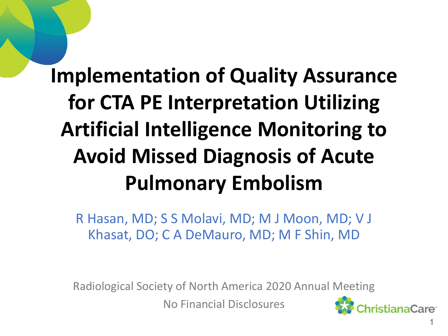### **Implementation of Quality Assurance for CTA PE Interpretation Utilizing Artificial Intelligence Monitoring to Avoid Missed Diagnosis of Acute Pulmonary Embolism**

R Hasan, MD; S S Molavi, MD; M J Moon, MD; V J Khasat, DO; C A DeMauro, MD; M F Shin, MD

Radiological Society of North America 2020 Annual Meeting No Financial Disclosures

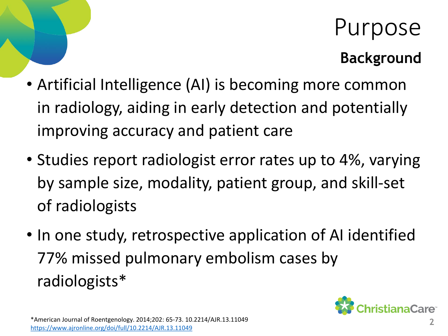### Purpose

### **Background**

- Artificial Intelligence (AI) is becoming more common in radiology, aiding in early detection and potentially improving accuracy and patient care
- Studies report radiologist error rates up to 4%, varying by sample size, modality, patient group, and skill-set of radiologists
- In one study, retrospective application of AI identified 77% missed pulmonary embolism cases by radiologists\*

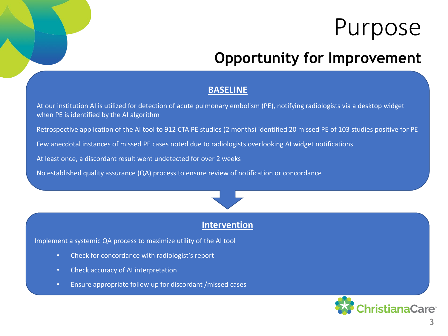### Purpose

#### **Opportunity for Improvement**

#### **BASELINE**

At our institution AI is utilized for detection of acute pulmonary embolism (PE), notifying radiologists via a desktop widget when PE is identified by the AI algorithm

Retrospective application of the AI tool to 912 CTA PE studies (2 months) identified 20 missed PE of 103 studies positive for PE

Few anecdotal instances of missed PE cases noted due to radiologists overlooking AI widget notifications

At least once, a discordant result went undetected for over 2 weeks

No established quality assurance (QA) process to ensure review of notification or concordance

#### **Intervention**

Implement a systemic QA process to maximize utility of the AI tool

- Check for concordance with radiologist's report
- Check accuracy of AI interpretation
- Ensure appropriate follow up for discordant /missed cases

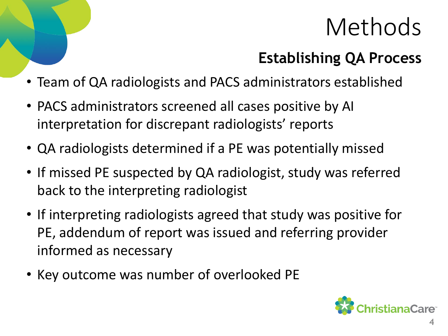# Methods

### **Establishing QA Process**

- Team of QA radiologists and PACS administrators established
- PACS administrators screened all cases positive by AI interpretation for discrepant radiologists' reports
- QA radiologists determined if a PE was potentially missed
- If missed PE suspected by QA radiologist, study was referred back to the interpreting radiologist
- If interpreting radiologists agreed that study was positive for PE, addendum of report was issued and referring provider informed as necessary
- Key outcome was number of overlooked PE

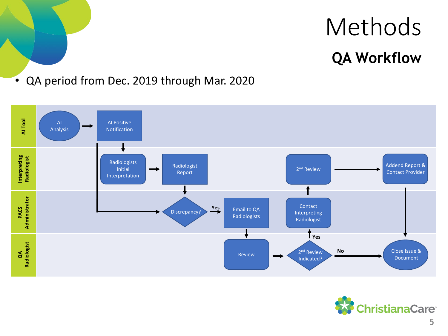# Methods **QA Workflow**

#### • QA period from Dec. 2019 through Mar. 2020



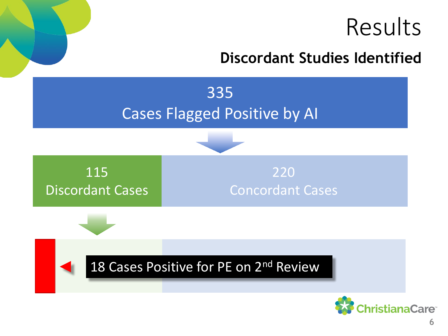

### **Discordant Studies Identified**



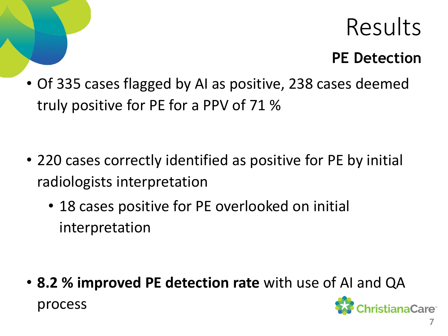### Results

#### **PE Detection**

• Of 335 cases flagged by AI as positive, 238 cases deemed truly positive for PE for a PPV of 71 %

- 220 cases correctly identified as positive for PE by initial radiologists interpretation
	- 18 cases positive for PE overlooked on initial interpretation

• **8.2 % improved PE detection rate** with use of AI and QA process**ianaCare**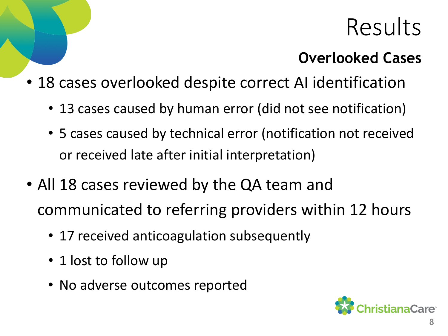# Results

### **Overlooked Cases**

- 18 cases overlooked despite correct AI identification
	- 13 cases caused by human error (did not see notification)
	- 5 cases caused by technical error (notification not received or received late after initial interpretation)
- All 18 cases reviewed by the QA team and communicated to referring providers within 12 hours
	- 17 received anticoagulation subsequently
	- 1 lost to follow up
	- No adverse outcomes reported

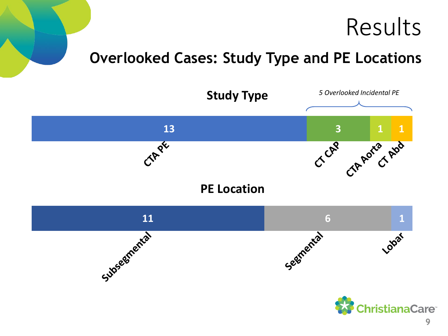#### **Overlooked Cases: Study Type and PE Locations**